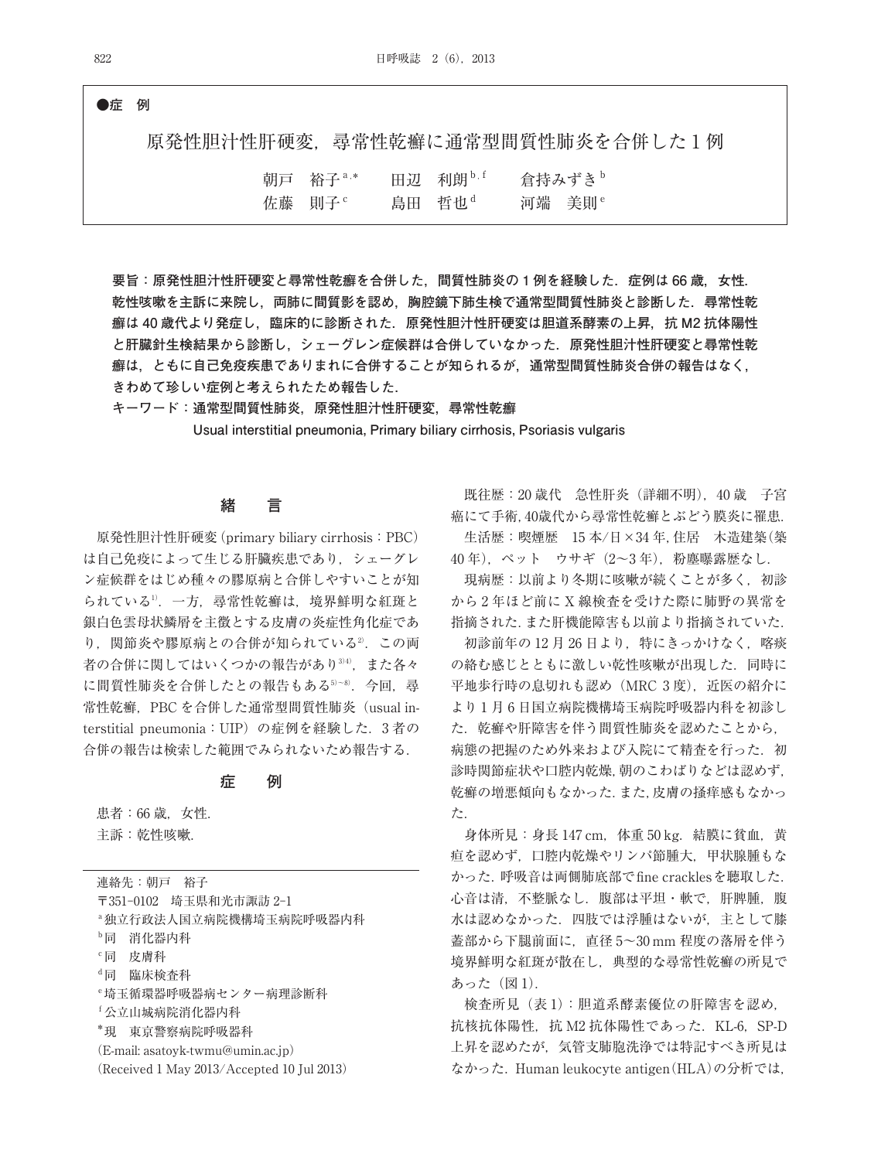### **●症 例**

原発性胆汁性肝硬変、尋常性乾癬に通常型間質性肺炎を合併した1例

| 朝戸 裕子 $3.8$        | 田辺 利朗b.f           | 倉持みずき <sup>b</sup> |
|--------------------|--------------------|--------------------|
| 佐藤 則子 <sup>。</sup> | 島田 哲也 <sup>d</sup> | 河端 美則 <sup>e</sup> |

**要旨:原発性胆汁性肝硬変と尋常性乾癬を合併した,間質性肺炎の 1 例を経験した.症例は 66 歳,女性. 乾性咳嗽を主訴に来院し,両肺に間質影を認め,胸腔鏡下肺生検で通常型間質性肺炎と診断した.尋常性乾 癬は 40 歳代より発症し,臨床的に診断された.原発性胆汁性肝硬変は胆道系酵素の上昇,抗 M2 抗体陽性 と肝臓針生検結果から診断し,シェーグレン症候群は合併していなかった.原発性胆汁性肝硬変と尋常性乾 癬は,ともに自己免疫疾患でありまれに合併することが知られるが,通常型間質性肺炎合併の報告はなく, きわめて珍しい症例と考えられたため報告した.**

**キーワード:通常型間質性肺炎,原発性胆汁性肝硬変,尋常性乾癬 Usual interstitial pneumonia, Primary biliary cirrhosis, Psoriasis vulgaris**

### **緒 言**

原発性胆汁性肝硬変(primary biliary cirrhosis:PBC) は自己免疫によって生じる肝臓疾患であり,シェーグレ ン症候群をはじめ種々の膠原病と合併しやすいことが知 られている1).一方,尋常性乾癬は,境界鮮明な紅斑と 銀白色雲母状鱗屑を主徴とする皮膚の炎症性角化症であ り, 関節炎や膠原病との合併が知られている2. この両 者の合併に関してはいくつかの報告があり<sup>3/4)</sup>,また各々 に間質性肺炎を合併したとの報告もある5~8. 今回,尋 常性乾癬, PBC を合併した通常型間質性肺炎 (usual interstitial pneumonia:UIP)の症例を経験した.3 者の 合併の報告は検索した範囲でみられないため報告する.

#### **症 例**

患者:66 歳, 女性. 主訴:乾性咳嗽.

連絡先:朝戸 裕子 〒351-0102 埼玉県和光市諏訪 2-1 a独立行政法人国立病院機構埼玉病院呼吸器内科 b同 消化器内科 c同 皮膚科 d同 臨床検査科 e埼玉循環器呼吸器病センター病理診断科 f公立山城病院消化器内科 \*現 東京警察病院呼吸器科 (E-mail: asatoyk-twmu@umin.ac.jp) (Received 1 May 2013/Accepted 10 Jul 2013)

既往歴:20 歳代 急性肝炎(詳細不明),40 歳 子宮 癌にて手術,40歳代から尋常性乾癬とぶどう膜炎に罹患. 生活歴:喫煙歴 15 本/日×34 年,住居 木造建築(築 40 年),ペット ウサギ(2~3 年),粉塵曝露歴なし.

現病歴:以前より冬期に咳嗽が続くことが多く,初診 から 2 年ほど前に X 線検査を受けた際に肺野の異常を 指摘された.また肝機能障害も以前より指摘されていた.

初診前年の 12 月 26 日より,特にきっかけなく,喀痰 の絡む感じとともに激しい乾性咳嗽が出現した.同時に 平地歩行時の息切れも認め (MRC 3度), 近医の紹介に より 1 月 6 日国立病院機構埼玉病院呼吸器内科を初診し た.乾癬や肝障害を伴う間質性肺炎を認めたことから, 病態の把握のため外来および入院にて精査を行った. 初 診時関節症状や口腔内乾燥,朝のこわばりなどは認めず, 乾癬の増悪傾向もなかった.また,皮膚の掻痒感もなかっ た.

身体所見:身長 147 cm, 体重 50 kg. 結膜に貧血, 黄 疸を認めず,口腔内乾燥やリンパ節腫大,甲状腺腫もな かった.呼吸音は両側肺底部でfine cracklesを聴取した. 心音は清,不整脈なし.腹部は平坦・軟で,肝脾腫,腹 水は認めなかった.四肢では浮腫はないが,主として膝 蓋部から下腿前面に,直径 5~30 mm 程度の落屑を伴う 境界鮮明な紅斑が散在し,典型的な尋常性乾癬の所見で あった (図1).

検査所見(表 1):胆道系酵素優位の肝障害を認め, 抗核抗体陽性,抗 M2 抗体陽性であった. KL-6, SP-D 上昇を認めたが,気管支肺胞洗浄では特記すべき所見は なかった.Human leukocyte antigen(HLA)の分析では,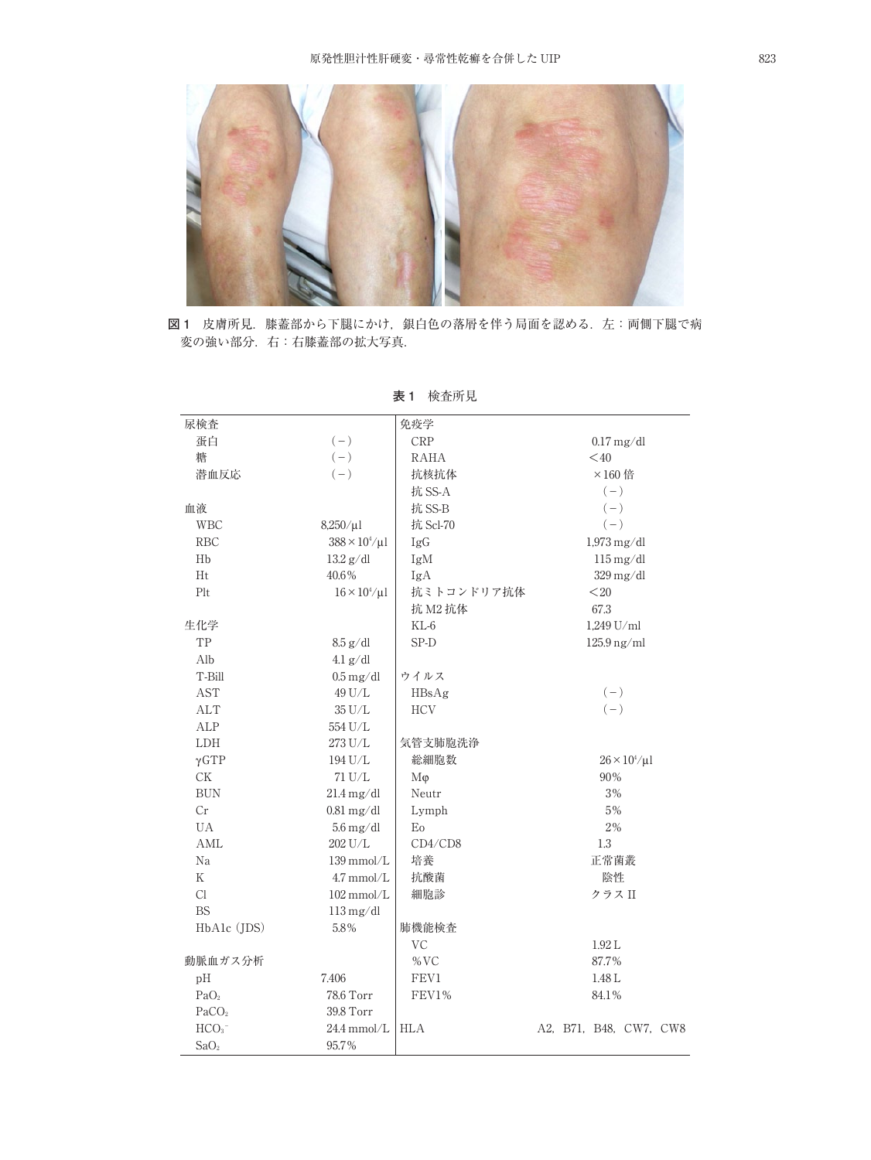

**図 1** 皮膚所見.膝蓋部から下腿にかけ,銀白色の落屑を伴う局面を認める.左:両側下腿で病 変の強い部分.右:右膝蓋部の拡大写真.

| 尿検査                    |                                 | 免疫学                                    |                        |  |
|------------------------|---------------------------------|----------------------------------------|------------------------|--|
| 蛋白                     | $(-)$                           | <b>CRP</b>                             | $0.17$ mg/dl           |  |
| 糖                      | $(\,-\,)$                       | RAHA                                   | $<$ 40                 |  |
| 潜血反応                   | $(-)$                           | 抗核抗体                                   | $\times$ 160倍          |  |
|                        |                                 | 抗 SS-A                                 | $(-)$                  |  |
| 血液                     |                                 | 抗 SS-B                                 | $(-)$                  |  |
| <b>WBC</b>             | $8,250/\mu$                     | 抗 Scl-70                               | $(-)$                  |  |
| <b>RBC</b>             | $388 \times 10^{4} / \mu$ l     | IgG                                    | $1,973$ mg/dl          |  |
| Hb                     | $13.2$ g/dl                     | $115 \,\mathrm{mg}/\mathrm{dl}$<br>IgM |                        |  |
| Ht                     | 40.6%                           | IgA<br>$329 \,\mathrm{mg}/\mathrm{dl}$ |                        |  |
| Plt                    | $16 \times 10^4/\mu$ l          | 抗ミトコンドリア抗体                             | $20$                   |  |
|                        |                                 | 抗 M2 抗体                                | 67.3                   |  |
| 生化学                    |                                 | $KL-6$                                 | 1,249 U/ml             |  |
| TP                     | $8.5$ g/dl                      | SP-D                                   | $125.9$ ng/ml          |  |
| Alb                    | $4.1$ g/dl                      |                                        |                        |  |
| T-Bill                 | $0.5\:\mathrm{mg}/\mathrm{dl}$  | ウイルス                                   |                        |  |
| <b>AST</b>             | 49 U/L                          | HBsAg                                  | $(-)$                  |  |
| ALT                    | $35$ U/L                        | <b>HCV</b>                             | $(-)$                  |  |
| ALP                    | 554 U/L                         |                                        |                        |  |
| LDH                    | 273 U/L                         | 気管支肺胞洗浄                                |                        |  |
| $\gamma$ GTP           | 194 U/L                         | 総細胞数                                   | $26 \times 10^4/\mu$ l |  |
| $\mathrm{C}\mathrm{K}$ | 71 U/L                          | Mφ                                     | 90%                    |  |
| <b>BUN</b>             | $21.4 \text{ mg/dl}$            | Neutr                                  | $3\, \%$               |  |
| Cr                     | $0.81$ mg/dl                    | Lymph                                  | 5%                     |  |
| UA                     | $5.6 \,\mathrm{mg}/\mathrm{dl}$ | Eo                                     | $2\, \%$               |  |
| AML                    | 202 U/L                         | CD4/CD8                                | 1.3                    |  |
| Na                     | $139$ mmol/L                    | 培養                                     | 正常菌叢                   |  |
| K                      | $4.7$ mmol/L                    | 抗酸菌                                    | 陰性                     |  |
| Cl                     | $102$ mmol/L                    | 細胞診                                    | クラス II                 |  |
| <b>BS</b>              | $113 \,\mathrm{mg}/\mathrm{dl}$ |                                        |                        |  |
| HbAlc (JDS)            | 5.8%                            | 肺機能検査                                  |                        |  |
|                        |                                 | <b>VC</b>                              | 1.92 L                 |  |
| 動脈血ガス分析                |                                 | $\%$ VC                                | 87.7%                  |  |
| pH                     | 7.406                           | FEV1                                   | 1.48 L                 |  |
| PaO <sub>2</sub>       | 78.6 Torr                       | FEV1%<br>84.1%                         |                        |  |
| PaCO <sub>2</sub>      | 39.8 Torr                       |                                        |                        |  |
| HCO <sub>3</sub>       | $24.4$ mmol/L                   | <b>HLA</b>                             | A2, B71, B48, CW7, CW8 |  |
| SaO <sub>2</sub>       | 95.7%                           |                                        |                        |  |

**表 1** 検査所見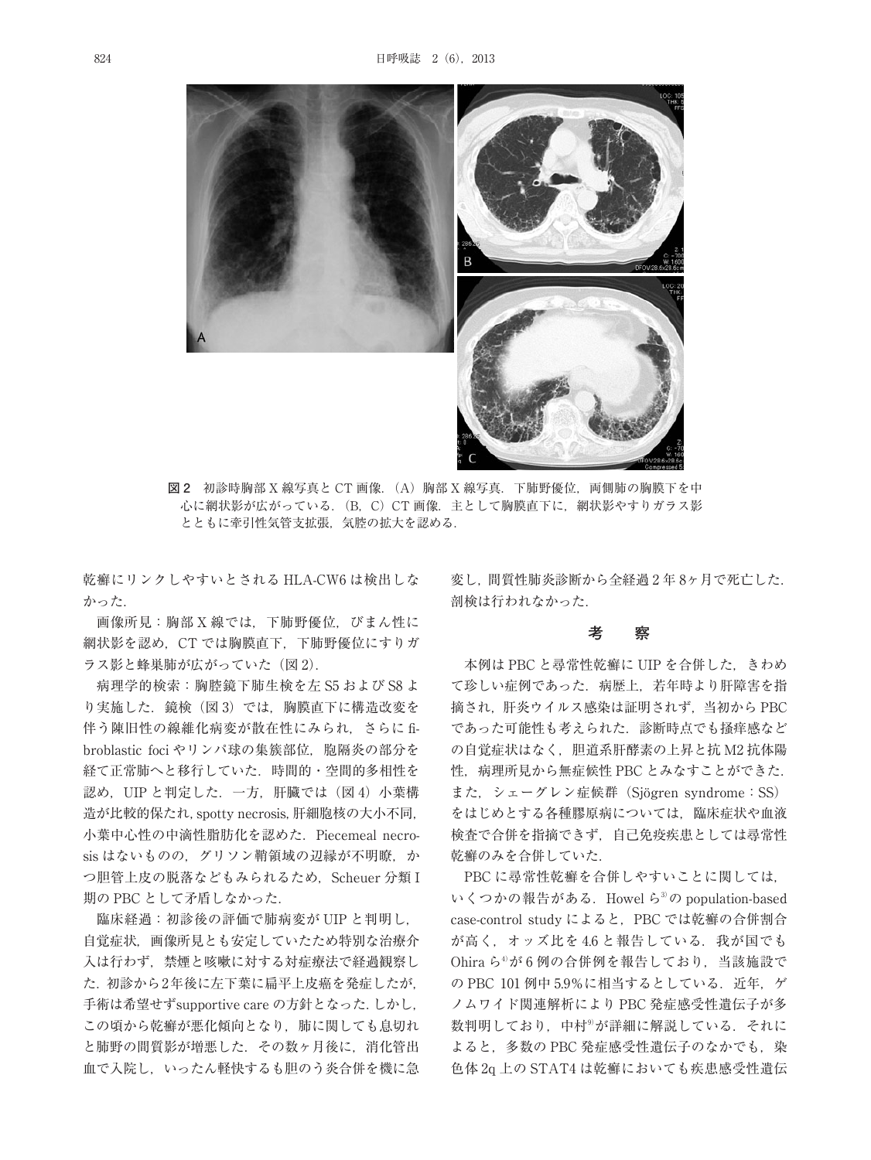

**図 2** 初診時胸部 X 線写真と CT 画像.(A)胸部 X 線写真.下肺野優位,両側肺の胸膜下を中 心に網状影が広がっている.(B,C)CT 画像.主として胸膜直下に,網状影やすりガラス影 とともに牽引性気管支拡張,気腔の拡大を認める.

乾癬にリンクしやすいとされる HLA-CW6 は検出しな かった.

画像所見:胸部 X 線では,下肺野優位,びまん性に 網状影を認め,CT では胸膜直下,下肺野優位にすりガ ラス影と蜂巣肺が広がっていた (図 2).

病理学的検索:胸腔鏡下肺生検を左 S5 および S8 よ り実施した. 鏡検(図3)では、胸膜直下に構造改変を 伴う陳旧性の線維化病変が散在性にみられ,さらに fibroblastic foci やリンパ球の集簇部位, 胞隔炎の部分を 経て正常肺へと移行していた.時間的・空間的多相性を 認め, UIP と判定した. 一方. 肝臓では (図4) 小葉構 造が比較的保たれ,spotty necrosis,肝細胞核の大小不同, 小葉中心性の中滴性脂肪化を認めた.Piecemeal necrosis はないものの、グリソン鞘領域の辺縁が不明瞭,か つ胆管上皮の脱落などもみられるため, Scheuer 分類 I 期の PBC として矛盾しなかった.

臨床経過:初診後の評価で肺病変が UIP と判明し, 自覚症状,画像所見とも安定していたため特別な治療介 入は行わず,禁煙と咳嗽に対する対症療法で経過観察し た.初診から2年後に左下葉に扁平上皮癌を発症したが, 手術は希望せずsupportive care の方針となった.しかし, この頃から乾癬が悪化傾向となり,肺に関しても息切れ と肺野の間質影が増悪した.その数ヶ月後に,消化管出 血で入院し,いったん軽快するも胆のう炎合併を機に急 変し,間質性肺炎診断から全経過 2 年 8ヶ月で死亡した. 剖検は行われなかった.

## **考 察**

本例は PBC と尋常性乾癬に UIP を合併した,きわめ て珍しい症例であった.病歴上,若年時より肝障害を指 摘され,肝炎ウイルス感染は証明されず,当初から PBC であった可能性も考えられた.診断時点でも掻痒感など の自覚症状はなく,胆道系肝酵素の上昇と抗 M2 抗体陽 性,病理所見から無症候性 PBC とみなすことができた. また. シェーグレン症候群 (Siögren syndrome: SS) をはじめとする各種膠原病については,臨床症状や血液 検査で合併を指摘できず,自己免疫疾患としては尋常性 乾癬のみを合併していた.

PBC に尋常性乾癬を合併しやすいことに関しては, いくつかの報告がある. Howel ら<sup>3)</sup>の population-based case-control study によると,PBC では乾癬の合併割合 が高く、オッズ比を4.6 と報告している. 我が国でも Ohira ら4) が 6 例の合併例を報告しており,当該施設で の PBC 101 例中 5.9%に相当するとしている. 近年. ゲ ノムワイド関連解析により PBC 発症感受性遺伝子が多 数判明しており,中村<sup>9)</sup>が詳細に解説している.それに よると,多数の PBC 発症感受性遺伝子のなかでも,染 色体 2q 上の STAT4 は乾癬においても疾患感受性遺伝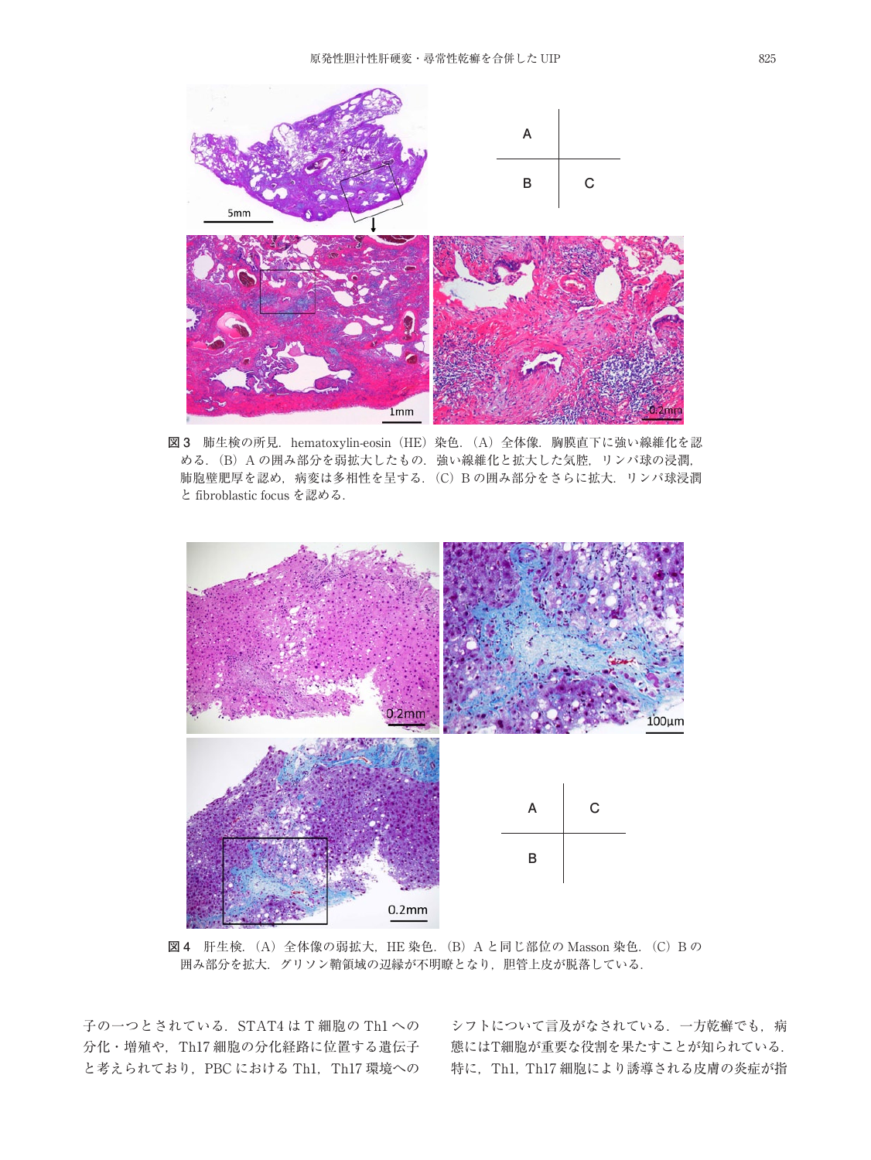

と fibroblastic focus を認める.

**図 3** 肺生検の所見.hematoxylin-eosin(HE)染色.(A)全体像.胸膜直下に強い線維化を認 める. (B) A の囲み部分を弱拡大したもの. 強い線維化と拡大した気腔, リンパ球の浸潤, 肺胞壁肥厚を認め,病変は多相性を呈する.(C)B の囲み部分をさらに拡大.リンパ球浸潤



**図 4** 肝生検.(A)全体像の弱拡大,HE 染色.(B)A と同じ部位の Masson 染色.(C)B の 囲み部分を拡大.グリソン鞘領域の辺縁が不明瞭となり,胆管上皮が脱落している.

子の一つとされている. STAT4 は T 細胞の Th1 への 分化・増殖や, Th17 細胞の分化経路に位置する遺伝子 と考えられており、PBC における Th1, Th17 環境への

シフトについて言及がなされている. 一方乾癬でも,病 態にはT細胞が重要な役割を果たすことが知られている. 特に, Th1, Th17 細胞により誘導される皮膚の炎症が指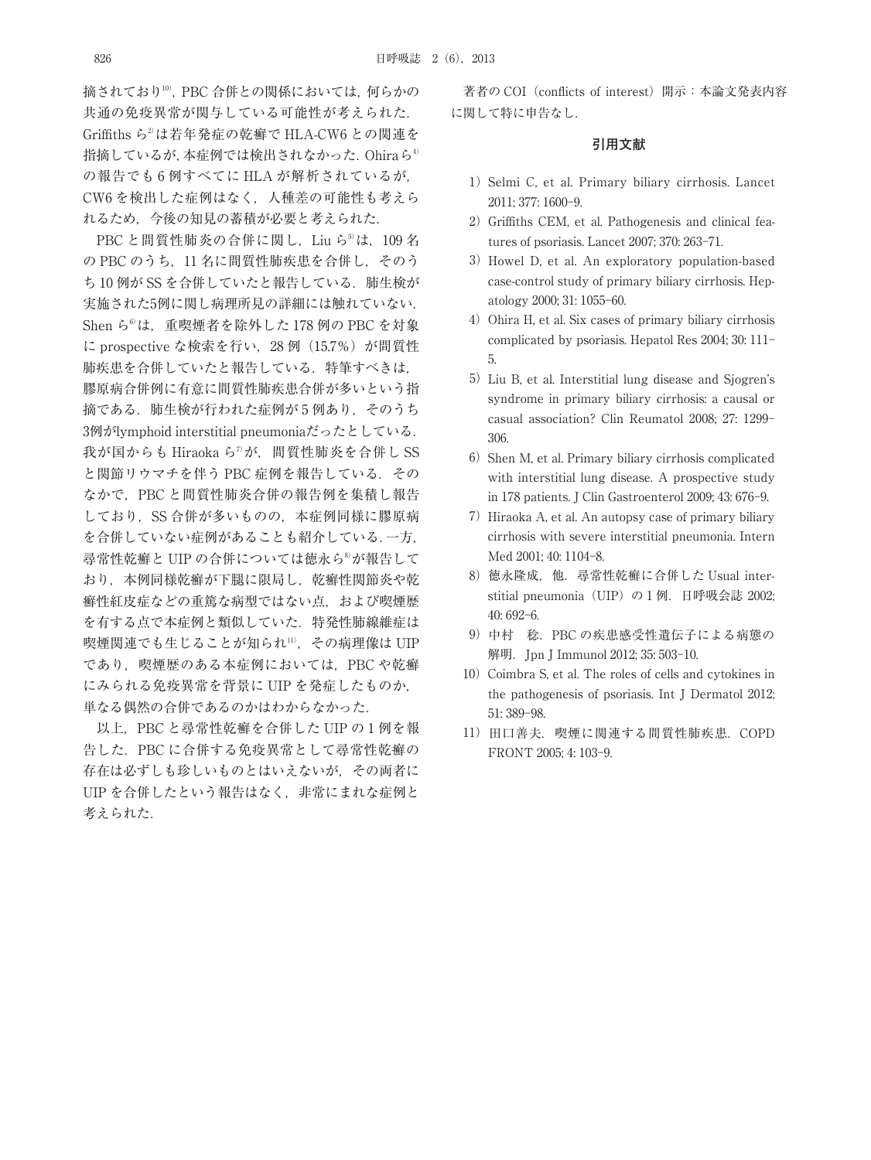摘されており10) ,PBC 合併との関係においては,何らかの 共通の免疫異常が関与している可能性が考えられた. Griffiths ら2) は若年発症の乾癬で HLA-CW6 との関連を 指摘しているが,本症例では検出されなかった.Ohiraら4) の報告でも 6 例すべてに HLA が解析されているが, CW6 を検出した症例はなく,人種差の可能性も考えら れるため,今後の知見の蓄積が必要と考えられた.

PBC と間質性肺炎の合併に関し,Liu ら<sup>5)</sup>は,109 名 の PBC のうち, 11 名に間質性肺疾患を合併し、そのう ち 10 例が SS を合併していたと報告している. 肺生検が 実施された5例に関し病理所見の詳細には触れていない. Shen ら6) は,重喫煙者を除外した 178 例の PBC を対象 に prospective な検索を行い, 28 例 (15.7%) が間質性 肺疾患を合併していたと報告している. 特筆すべきは, 膠原病合併例に有意に間質性肺疾患合併が多いという指 摘である.肺生検が行われた症例が 5 例あり,そのうち 3例がlymphoid interstitial pneumoniaだったとしている. 我が国からも Hiraoka ら"が,間質性肺炎を合併し SS と関節リウマチを伴う PBC 症例を報告している. その なかで,PBC と間質性肺炎合併の報告例を集積し報告 しており、SS 合併が多いものの、本症例同様に膠原病 を合併していない症例があることも紹介している.一方, 尋常性乾癬と UIP の合併については徳永ら<sup>8</sup>が報告して おり,本例同様乾癬が下腿に限局し,乾癬性関節炎や乾 癬性紅皮症などの重篤な病型ではない点,および喫煙歴 を有する点で本症例と類似していた.特発性肺線維症は 喫煙関連でも生じることが知られ11) ,その病理像は UIP であり、喫煙歴のある本症例においては、PBC や乾癬 にみられる免疫異常を背景に UIP を発症したものか, 単なる偶然の合併であるのかはわからなかった.

以上,PBC と尋常性乾癬を合併した UIP の 1 例を報 告した.PBC に合併する免疫異常として尋常性乾癬の 存在は必ずしも珍しいものとはいえないが,その両者に UIP を合併したという報告はなく,非常にまれな症例と 考えられた.

著者の COI (conflicts of interest) 開示: 本論文発表内容 に関して特に申告なし.

### **引用文献**

- 1) Selmi C, et al. Primary biliary cirrhosis. Lancet 2011; 377: 1600-9.
- 2) Griffiths CEM, et al. Pathogenesis and clinical features of psoriasis. Lancet 2007; 370: 263-71.
- 3) Howel D, et al. An exploratory population-based case-control study of primary biliary cirrhosis. Hepatology 2000; 31: 1055-60.
- 4) Ohira H, et al. Six cases of primary biliary cirrhosis complicated by psoriasis. Hepatol Res 2004; 30: 111- 5.
- 5)Liu B, et al. Interstitial lung disease and Sjogren's syndrome in primary biliary cirrhosis: a causal or casual association? Clin Reumatol 2008; 27: 1299- 306.
- 6) Shen M, et al. Primary biliary cirrhosis complicated with interstitial lung disease. A prospective study in 178 patients. J Clin Gastroenterol 2009; 43: 676-9.
- 7) Hiraoka A, et al. An autopsy case of primary biliary cirrhosis with severe interstitial pneumonia. Intern Med 2001; 40: 1104-8.
- 8)徳永隆成,他.尋常性乾癬に合併した Usual interstitial pneumonia (UIP) の 1 例. 日呼吸会誌 2002; 40: 692-6.
- 9)中村 稔.PBC の疾患感受性遺伝子による病態の 解明. Jpn J Immunol 2012; 35: 503-10.
- 10) Coimbra S, et al. The roles of cells and cytokines in the pathogenesis of psoriasis. Int J Dermatol 2012; 51: 389-98.
- 11)田口善夫.喫煙に関連する間質性肺疾患.COPD FRONT 2005; 4: 103-9.